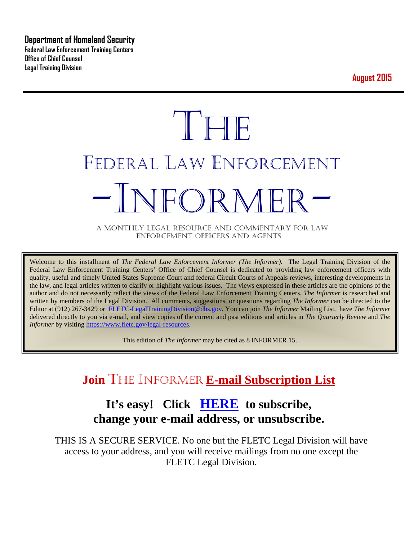**Department of Homeland Security Federal Law Enforcement Training Centers Office of Chief Counsel Legal Training Division** 

**August 2015**

# **THE** FEDERAL LAW ENFORCEMENT -INFORMER- A MONTHLY LEGAL RESOURCE AND COMMENTARY FOR LAW

ENFORCEMENT OFFICERS AND AGENTS

Welcome to this installment of *The Federal Law Enforcement Informer (The Informer).* The Legal Training Division of the Federal Law Enforcement Training Centers' Office of Chief Counsel is dedicated to providing law enforcement officers with quality, useful and timely United States Supreme Court and federal Circuit Courts of Appeals reviews, interesting developments in the law, and legal articles written to clarify or highlight various issues. The views expressed in these articles are the opinions of the author and do not necessarily reflect the views of the Federal Law Enforcement Training Centers. *The Informer* is researched and written by members of the Legal Division. All comments, suggestions, or questions regarding *The Informer* can be directed to the Editor at (912) 267-3429 or [FLETC-LegalTrainingDivision@dhs.gov.](mailto:FLETC-LegalTrainingDivision@dhs.gov) You can join *The Informer* Mailing List, have *The Informer* delivered directly to you via e-mail, and view copies of the current and past editions and articles in *The Quarterly Review* and *The Informer* by visiting [https://www.fletc.gov/legal-resources.](https://www.fletc.gov/legal-resources)

This edition of *The Informer* may be cited as 8 INFORMER 15.

# **Join** THE INFORMER **E-mail Subscription List**

## **It's easy! Click [HERE](http://peach.ease.lsoft.com/scripts/wa.exe?SUBED1=fletclgd&A=1) to subscribe, change your e-mail address, or unsubscribe.**

THIS IS A SECURE SERVICE. No one but the FLETC Legal Division will have access to your address, and you will receive mailings from no one except the FLETC Legal Division.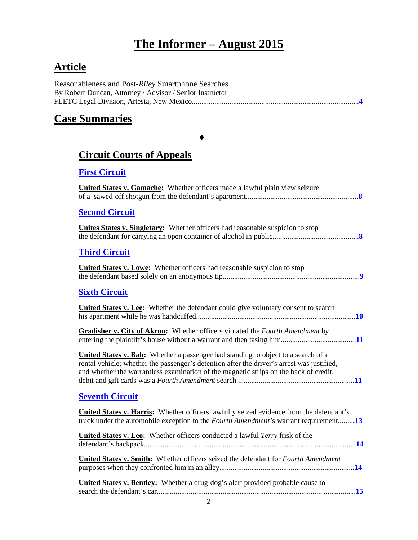# **The Informer – August 2015**

## **Article**

| Reasonableness and Post-Riley Smartphone Searches        |
|----------------------------------------------------------|
| By Robert Duncan, Attorney / Advisor / Senior Instructor |
|                                                          |

## **Case Summaries**

## ♦

## **[Circuit Courts of Appeals](#page-7-0)**

## **[First Circuit](#page-7-1)**

| <b>United States v. Gamache:</b> Whether officers made a lawful plain view seizure                                                                                                                                                                                              |
|---------------------------------------------------------------------------------------------------------------------------------------------------------------------------------------------------------------------------------------------------------------------------------|
| <b>Second Circuit</b>                                                                                                                                                                                                                                                           |
| Unites States v. Singletary: Whether officers had reasonable suspicion to stop                                                                                                                                                                                                  |
| <b>Third Circuit</b>                                                                                                                                                                                                                                                            |
| <b>United States v. Lowe:</b> Whether officers had reasonable suspicion to stop                                                                                                                                                                                                 |
| <b>Sixth Circuit</b>                                                                                                                                                                                                                                                            |
| <b>United States v. Lee:</b> Whether the defendant could give voluntary consent to search                                                                                                                                                                                       |
| Gradisher v. City of Akron: Whether officers violated the Fourth Amendment by                                                                                                                                                                                                   |
| <b>United States v. Bah:</b> Whether a passenger had standing to object to a search of a<br>rental vehicle; whether the passenger's detention after the driver's arrest was justified,<br>and whether the warrantless examination of the magnetic strips on the back of credit, |
| <b>Seventh Circuit</b>                                                                                                                                                                                                                                                          |
| United States v. Harris: Whether officers lawfully seized evidence from the defendant's<br>truck under the automobile exception to the <i>Fourth Amendment's</i> warrant requirement13                                                                                          |
| <b>United States v. Leo:</b> Whether officers conducted a lawful <i>Terry</i> frisk of the                                                                                                                                                                                      |
| United States v. Smith: Whether officers seized the defendant for Fourth Amendment                                                                                                                                                                                              |
| United States v. Bentley: Whether a drug-dog's alert provided probable cause to                                                                                                                                                                                                 |
| $\overline{2}$                                                                                                                                                                                                                                                                  |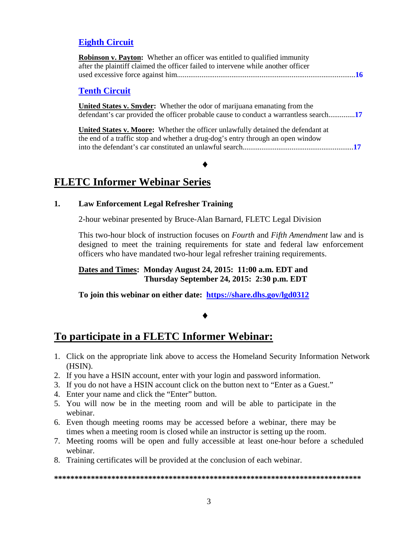## **[Eighth Circuit](#page-15-0)**

| <b>Robinson v. Payton:</b> Whether an officer was entitled to qualified immunity  |  |
|-----------------------------------------------------------------------------------|--|
| after the plaintiff claimed the officer failed to intervene while another officer |  |
|                                                                                   |  |

#### **[Tenth Circuit](#page-16-0)**

**United States v. Snyder:** Whether the odor of marijuana emanating from the defendant's car provided the officer probable cause to conduct a warrantless search..............**[17](#page-16-1)**

**United States v. Moore:** Whether the officer unlawfully detained the defendant at the end of a traffic stop and whether a drug-dog's entry through an open window into the defendant's car constituted an unlawful search...........................................................**[17](#page-16-2)**

## **FLETC Informer Webinar Series**

#### **1. Law Enforcement Legal Refresher Training**

2-hour webinar presented by Bruce-Alan Barnard, FLETC Legal Division

♦

This two-hour block of instruction focuses on *Fourth* and *Fifth Amendment* law and is designed to meet the training requirements for state and federal law enforcement officers who have mandated two-hour legal refresher training requirements.

**Dates and Times: Monday August 24, 2015: 11:00 a.m. EDT and Thursday September 24, 2015: 2:30 p.m. EDT** 

**To join this webinar on either date: <https://share.dhs.gov/lgd0312>**

## ♦

## **To participate in a FLETC Informer Webinar:**

- 1. Click on the appropriate link above to access the Homeland Security Information Network (HSIN).
- 2. If you have a HSIN account, enter with your login and password information.
- 3. If you do not have a HSIN account click on the button next to "Enter as a Guest."
- 4. Enter your name and click the "Enter" button.
- 5. You will now be in the meeting room and will be able to participate in the webinar.
- 6. Even though meeting rooms may be accessed before a webinar, there may be times when a meeting room is closed while an instructor is setting up the room.
- 7. Meeting rooms will be open and fully accessible at least one-hour before a scheduled webinar.
- 8. Training certificates will be provided at the conclusion of each webinar.

#### **\*\*\*\*\*\*\*\*\*\*\*\*\*\*\*\*\*\*\*\*\*\*\*\*\*\*\*\*\*\*\*\*\*\*\*\*\*\*\*\*\*\*\*\*\*\*\*\*\*\*\*\*\*\*\*\*\*\*\*\*\*\*\*\*\*\*\*\*\*\*\*\*\*\*\***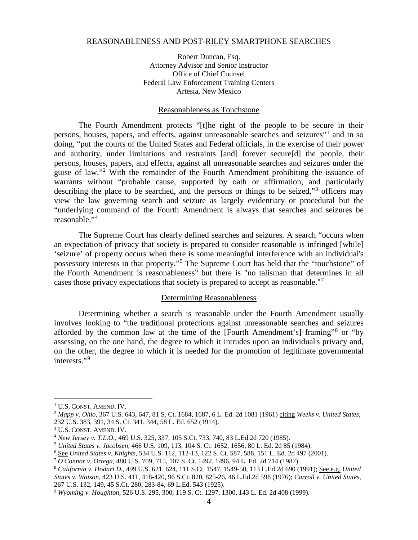#### <span id="page-3-0"></span>REASONABLENESS AND POST-RILEY SMARTPHONE SEARCHES

Robert Duncan, Esq. Attorney Advisor and Senior Instructor Office of Chief Counsel Federal Law Enforcement Training Centers Artesia, New Mexico

#### Reasonableness as Touchstone

The Fourth Amendment protects "[t]he right of the people to be secure in their persons, houses, papers, and effects, against unreasonable searches and seizures"[1](#page-3-1) and in so doing, "put the courts of the United States and Federal officials, in the exercise of their power and authority, under limitations and restraints [and] forever secure[d] the people, their persons, houses, papers, and effects, against all unreasonable searches and seizures under the guise of law."[2](#page-3-2) With the remainder of the Fourth Amendment prohibiting the issuance of warrants without "probable cause, supported by oath or affirmation, and particularly describing the place to be searched, and the persons or things to be seized,"<sup>[3](#page-3-3)</sup> officers may view the law governing search and seizure as largely evidentiary or procedural but the "underlying command of the Fourth Amendment is always that searches and seizures be reasonable."[4](#page-3-4)

The Supreme Court has clearly defined searches and seizures. A search "occurs when an expectation of privacy that society is prepared to consider reasonable is infringed [while] 'seizure' of property occurs when there is some meaningful interference with an individual's possessory interests in that property."[5](#page-3-5) The Supreme Court has held that the "touchstone" of the Fourth Amendment is reasonableness<sup>[6](#page-3-6)</sup> but there is "no talisman that determines in all cases those privacy expectations that society is prepared to accept as reasonable."[7](#page-3-7)

#### Determining Reasonableness

Determining whether a search is reasonable under the Fourth Amendment usually involves looking to "the traditional protections against unreasonable searches and seizures afforded by the common law at the time of the [Fourth Amendment's] framing"[8](#page-3-8) or "by assessing, on the one hand, the degree to which it intrudes upon an individual's privacy and, on the other, the degree to which it is needed for the promotion of legitimate governmental interests."<sup>[9](#page-3-9)</sup>

<span id="page-3-1"></span><sup>&</sup>lt;sup>1</sup> U.S. CONST. AMEND. IV.

<span id="page-3-2"></span><sup>2</sup> *Mapp v. Ohio*, 367 U.S. 643, 647, 81 S. Ct. 1684, 1687, 6 L. Ed. 2d 1081 (1961) citing *Weeks v. United States*, 232 U.S. 383, 391, 34 S. Ct. 341, 344, 58 L. Ed. 652 (1914).

<span id="page-3-3"></span><sup>&</sup>lt;sup>3</sup> U.S. CONST. AMEND. IV.

<span id="page-3-4"></span><sup>4</sup> *New Jersey v. T.L.O.*, 469 U.S. 325, 337, 105 S.Ct. 733, 740, 83 L.Ed.2d 720 (1985).

<span id="page-3-5"></span><sup>5</sup> *United States v. Jacobsen*, 466 U.S. 109, 113, 104 S. Ct. 1652, 1656, 80 L. Ed. 2d 85 (1984).

<span id="page-3-6"></span><sup>6</sup> See *United States v. Knights*, 534 U.S. 112, 112-13, 122 S. Ct. 587, 588, 151 L. Ed. 2d 497 (2001).

<span id="page-3-7"></span><sup>7</sup> *O'Connor v. Ortega*, 480 U.S. 709, 715, 107 S. Ct. 1492, 1496, 94 L. Ed. 2d 714 (1987).

<span id="page-3-8"></span><sup>8</sup> *California v. Hodari D.*, 499 U.S. 621, 624, 111 S.Ct. 1547, 1549-50, 113 L.Ed.2d 690 (1991); See e.g. *United States v. Watson*, 423 U.S. 411, 418-420, 96 S.Ct. 820, 825-26, 46 L.Ed.2d 598 (1976); *Carroll v. United States*, 267 U.S. 132, 149, 45 S.Ct. 280, 283-84, 69 L.Ed. 543 (1925).

<span id="page-3-9"></span><sup>9</sup> *Wyoming v. Houghton*, 526 U.S. 295, 300, 119 S. Ct. 1297, 1300, 143 L. Ed. 2d 408 (1999).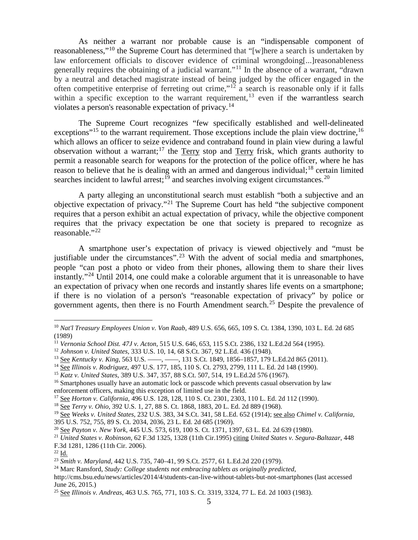As neither a warrant nor probable cause is an "indispensable component of reasonableness,"[10](#page-4-0) the Supreme Court has determined that "[w]here a search is undertaken by law enforcement officials to discover evidence of criminal wrongdoing[...]reasonableness generally requires the obtaining of a judicial warrant."<sup>[11](#page-4-1)</sup> In the absence of a warrant, "drawn by a neutral and detached magistrate instead of being judged by the officer engaged in the often competitive enterprise of ferreting out crime,"<sup>[12](#page-4-2)</sup> a search is reasonable only if it falls within a specific exception to the warrant requirement,  $13$  even if the warrantless search violates a person's reasonable expectation of privacy.[14](#page-4-4)

The Supreme Court recognizes "few specifically established and well-delineated exceptions<sup> $15$ </sup> to the warrant requirement. Those exceptions include the plain view doctrine,  $16$ which allows an officer to seize evidence and contraband found in plain view during a lawful observation without a warrant;<sup>[17](#page-4-7)</sup> the Terry stop and Terry frisk, which grants authority to permit a reasonable search for weapons for the protection of the police officer, where he has reason to believe that he is dealing with an armed and dangerous individual;<sup>[18](#page-4-8)</sup> certain limited searches incident to lawful arrest;<sup>[19](#page-4-9)</sup> and searches involving exigent circumstances.<sup>[20](#page-4-10)</sup>

A party alleging an unconstitutional search must establish "both a subjective and an objective expectation of privacy."<sup>[21](#page-4-11)</sup> The Supreme Court has held "the subjective component" requires that a person exhibit an actual expectation of privacy, while the objective component requires that the privacy expectation be one that society is prepared to recognize as reasonable."[22](#page-4-12)

A smartphone user's expectation of privacy is viewed objectively and "must be justifiable under the circumstances".<sup>[23](#page-4-13)</sup> With the advent of social media and smartphones, people "can post a photo or video from their phones, allowing them to share their lives instantly."[24](#page-4-14) Until 2014, one could make a colorable argument that it is unreasonable to have an expectation of privacy when one records and instantly shares life events on a smartphone; if there is no violation of a person's "reasonable expectation of privacy" by police or government agents, then there is no Fourth Amendment search.<sup>[25](#page-4-15)</sup> Despite the prevalence of

<span id="page-4-0"></span> <sup>10</sup> *Nat'l Treasury Employees Union v. Von Raab*, 489 U.S. 656, 665, 109 S. Ct. 1384, 1390, 103 L. Ed. 2d 685 (1989)

<span id="page-4-1"></span><sup>11</sup> *Vernonia School Dist. 47J v. Acton*, 515 U.S. 646, 653, 115 S.Ct. 2386, 132 L.Ed.2d 564 (1995).

<span id="page-4-3"></span><span id="page-4-2"></span><sup>12</sup> *Johnson v. United States*, 333 U.S. 10, 14, 68 S.Ct. 367, 92 L.Ed. 436 (1948).

<sup>13</sup> See *Kentucky v. King*, 563 U.S. ––––, ––––, 131 S.Ct. 1849, 1856–1857, 179 L.Ed.2d 865 (2011).

<span id="page-4-4"></span><sup>14</sup> See *Illinois v. Rodriguez*, 497 U.S. 177, 185, 110 S. Ct. 2793, 2799, 111 L. Ed. 2d 148 (1990).

<span id="page-4-5"></span><sup>15</sup> *Katz v. United States,* 389 U.S. 347, 357, 88 S.Ct. 507, 514, 19 L.Ed.2d 576 (1967).

<span id="page-4-6"></span><sup>&</sup>lt;sup>16</sup> Smartphones usually have an automatic lock or passcode which prevents casual observation by law enforcement officers, making this exception of limited use in the field.

<span id="page-4-7"></span><sup>17</sup> See *Horton v. California*, 496 U.S. 128, 128, 110 S. Ct. 2301, 2303, 110 L. Ed. 2d 112 (1990).

<span id="page-4-8"></span><sup>18</sup> See *Terry v. Ohio*, 392 U.S. 1, 27, 88 S. Ct. 1868, 1883, 20 L. Ed. 2d 889 (1968).

<span id="page-4-9"></span><sup>19</sup> See *Weeks v. United States*, 232 U.S. 383, 34 S.Ct. 341, 58 L.Ed. 652 (1914); see also *Chimel v. California*, 395 U.S. 752, 755, 89 S. Ct. 2034, 2036, 23 L. Ed. 2d 685 (1969).

<span id="page-4-10"></span><sup>20</sup> See *Payton v. New York*, 445 U.S. 573, 619, 100 S. Ct. 1371, 1397, 63 L. Ed. 2d 639 (1980).

<span id="page-4-11"></span><sup>21</sup> *United States v. Robinson*, 62 F.3d 1325, 1328 (11th Cir.1995) citing *United States v. Segura-Baltazar*, 448 F.3d 1281, 1286 (11th Cir. 2006).

<span id="page-4-12"></span><sup>22</sup> Id.

<span id="page-4-13"></span><sup>23</sup> *Smith v. Maryland*, 442 U.S. 735, 740–41, 99 S.Ct. 2577, 61 L.Ed.2d 220 (1979).

<span id="page-4-14"></span><sup>24</sup> Marc Ransford, *Study: College students not embracing tablets as originally predicted*, http://cms.bsu.edu/news/articles/2014/4/students-can-live-without-tablets-but-not-smartphones (last accessed June 26, 2015.)

<span id="page-4-15"></span><sup>25</sup> See *Illinois v. Andreas*, 463 U.S. 765, 771, 103 S. Ct. 3319, 3324, 77 L. Ed. 2d 1003 (1983).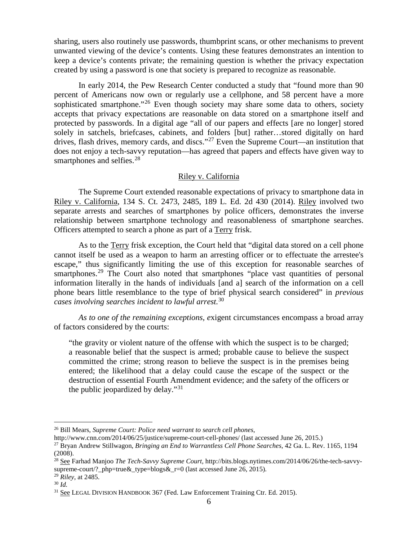sharing, users also routinely use passwords, thumbprint scans, or other mechanisms to prevent unwanted viewing of the device's contents. Using these features demonstrates an intention to keep a device's contents private; the remaining question is whether the privacy expectation created by using a password is one that society is prepared to recognize as reasonable.

In early 2014, the Pew Research Center conducted a study that "found more than 90 percent of Americans now own or regularly use a cellphone, and 58 percent have a more sophisticated smartphone."<sup>[26](#page-5-0)</sup> Even though society may share some data to others, society accepts that privacy expectations are reasonable on data stored on a smartphone itself and protected by passwords. In a digital age "all of our papers and effects [are no longer] stored solely in satchels, briefcases, cabinets, and folders [but] rather…stored digitally on hard drives, flash drives, memory cards, and discs."<sup>[27](#page-5-1)</sup> Even the Supreme Court—an institution that does not enjoy a tech-savvy reputation—has agreed that papers and effects have given way to smartphones and selfies.<sup>[28](#page-5-2)</sup>

#### Riley v. California

The Supreme Court extended reasonable expectations of privacy to smartphone data in Riley v. California, 134 S. Ct. 2473, 2485, 189 L. Ed. 2d 430 (2014). Riley involved two separate arrests and searches of smartphones by police officers, demonstrates the inverse relationship between smartphone technology and reasonableness of smartphone searches. Officers attempted to search a phone as part of a Terry frisk.

As to the Terry frisk exception, the Court held that "digital data stored on a cell phone cannot itself be used as a weapon to harm an arresting officer or to effectuate the arrestee's escape," thus significantly limiting the use of this exception for reasonable searches of smartphones.<sup>[29](#page-5-3)</sup> The Court also noted that smartphones "place vast quantities of personal information literally in the hands of individuals [and a] search of the information on a cell phone bears little resemblance to the type of brief physical search considered" in *previous cases involving searches incident to lawful arrest.*[30](#page-5-4)

*As to one of the remaining exceptions, e*xigent circumstances encompass a broad array of factors considered by the courts:

"the gravity or violent nature of the offense with which the suspect is to be charged; a reasonable belief that the suspect is armed; probable cause to believe the suspect committed the crime; strong reason to believe the suspect is in the premises being entered; the likelihood that a delay could cause the escape of the suspect or the destruction of essential Fourth Amendment evidence; and the safety of the officers or the public jeopardized by delay."[31](#page-5-5)

<span id="page-5-0"></span> <sup>26</sup> Bill Mears*, Supreme Court: Police need warrant to search cell phones*,

<span id="page-5-1"></span>http://www.cnn.com/2014/06/25/justice/supreme-court-cell-phones/ (last accessed June 26, 2015.) <sup>27</sup> Bryan Andrew Stillwagon, *Bringing an End to Warrantless Cell Phone Searches*, 42 Ga. L. Rev. 1165, 1194 (2008).

<span id="page-5-2"></span><sup>28</sup> See Farhad Manjoo *The Tech-Savvy Supreme Court,* http://bits.blogs.nytimes.com/2014/06/26/the-tech-savvysupreme-court/? php=true& type=blogs&  $r=0$  (last accessed June 26, 2015).

<span id="page-5-3"></span><sup>29</sup> *Riley*, at 2485.

<span id="page-5-4"></span><sup>30</sup> *Id.*

<span id="page-5-5"></span><sup>&</sup>lt;sup>31</sup> See LEGAL DIVISION HANDBOOK 367 (Fed. Law Enforcement Training Ctr. Ed. 2015).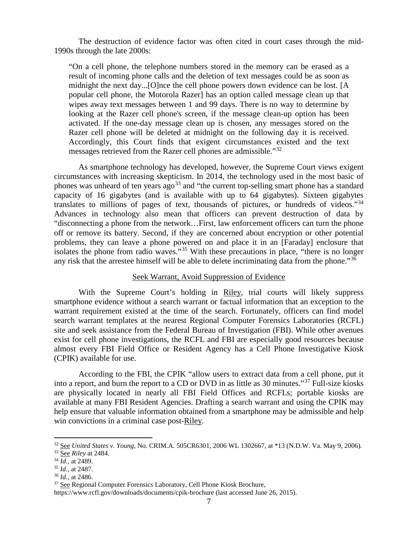The destruction of evidence factor was often cited in court cases through the mid-1990s through the late 2000s:

"On a cell phone, the telephone numbers stored in the memory can be erased as a result of incoming phone calls and the deletion of text messages could be as soon as midnight the next day...[O]nce the cell phone powers down evidence can be lost. [A popular cell phone, the Motorola Razer] has an option called message clean up that wipes away text messages between 1 and 99 days. There is no way to determine by looking at the Razer cell phone's screen, if the message clean-up option has been activated. If the one-day message clean up is chosen, any messages stored on the Razer cell phone will be deleted at midnight on the following day it is received. Accordingly, this Court finds that exigent circumstances existed and the text messages retrieved from the Razer cell phones are admissible."[32](#page-6-0)

As smartphone technology has developed, however, the Supreme Court views exigent circumstances with increasing skepticism. In 2014, the technology used in the most basic of phones was unheard of ten years ago<sup>[33](#page-6-1)</sup> and "the current top-selling smart phone has a standard capacity of 16 gigabytes (and is available with up to 64 gigabytes). Sixteen gigabytes translates to millions of pages of text, thousands of pictures, or hundreds of videos.<sup>[34](#page-6-2)</sup> Advances in technology also mean that officers can prevent destruction of data by "disconnecting a phone from the network…First, law enforcement officers can turn the phone off or remove its battery. Second, if they are concerned about encryption or other potential problems, they can leave a phone powered on and place it in an [Faraday] enclosure that isolates the phone from radio waves."[35](#page-6-3) With these precautions in place, "there is no longer any risk that the arrestee himself will be able to delete incriminating data from the phone."<sup>[36](#page-6-4)</sup>

#### Seek Warrant, Avoid Suppression of Evidence

With the Supreme Court's holding in Riley, trial courts will likely suppress smartphone evidence without a search warrant or factual information that an exception to the warrant requirement existed at the time of the search. Fortunately, officers can find model search warrant templates at the nearest Regional Computer Forensics Laboratories (RCFL) site and seek assistance from the Federal Bureau of Investigation (FBI). While other avenues exist for cell phone investigations, the RCFL and FBI are especially good resources because almost every FBI Field Office or Resident Agency has a Cell Phone Investigative Kiosk (CPIK) available for use.

According to the FBI, the CPIK "allow users to extract data from a cell phone, put it into a report, and burn the report to a CD or DVD in as little as 30 minutes."[37](#page-6-5) Full-size kiosks are physically located in nearly all FBI Field Offices and RCFLs; portable kiosks are available at many FBI Resident Agencies. Drafting a search warrant and using the CPIK may help ensure that valuable information obtained from a smartphone may be admissible and help win convictions in a criminal case post-Riley.

<span id="page-6-0"></span> <sup>32</sup> See *United States v. Young*, No. CRIM.A. 505CR6301, 2006 WL 1302667, at \*13 (N.D.W. Va. May 9, 2006).

<span id="page-6-1"></span><sup>33</sup> See *Riley* at 2484.

<span id="page-6-2"></span><sup>34</sup> *Id.*, at 2489.

<span id="page-6-3"></span><sup>35</sup> *Id.*, at 2487.

<span id="page-6-4"></span><sup>36</sup> *Id.*, at 2486.

<span id="page-6-5"></span><sup>&</sup>lt;sup>37</sup> See Regional Computer Forensics Laboratory, Cell Phone Kiosk Brochure,

https://www.rcfl.gov/downloads/documents/cpik-brochure (last accessed June 26, 2015).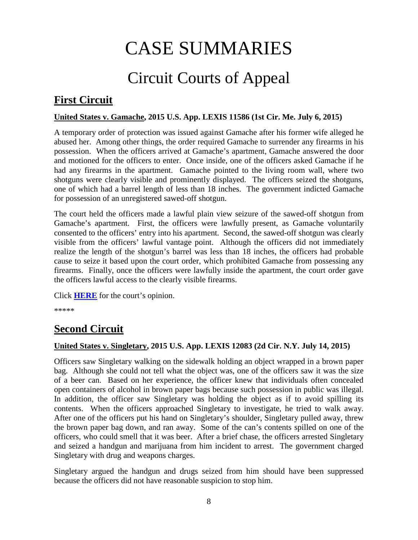# CASE SUMMARIES

# Circuit Courts of Appeal

## <span id="page-7-1"></span><span id="page-7-0"></span>**First Circuit**

## <span id="page-7-2"></span>**United States v. Gamache, 2015 U.S. App. LEXIS 11586 (1st Cir. Me. July 6, 2015)**

A temporary order of protection was issued against Gamache after his former wife alleged he abused her. Among other things, the order required Gamache to surrender any firearms in his possession. When the officers arrived at Gamache's apartment, Gamache answered the door and motioned for the officers to enter. Once inside, one of the officers asked Gamache if he had any firearms in the apartment. Gamache pointed to the living room wall, where two shotguns were clearly visible and prominently displayed. The officers seized the shotguns, one of which had a barrel length of less than 18 inches. The government indicted Gamache for possession of an unregistered sawed-off shotgun.

The court held the officers made a lawful plain view seizure of the sawed-off shotgun from Gamache's apartment. First, the officers were lawfully present, as Gamache voluntarily consented to the officers' entry into his apartment. Second, the sawed-off shotgun was clearly visible from the officers' lawful vantage point. Although the officers did not immediately realize the length of the shotgun's barrel was less than 18 inches, the officers had probable cause to seize it based upon the court order, which prohibited Gamache from possessing any firearms. Finally, once the officers were lawfully inside the apartment, the court order gave the officers lawful access to the clearly visible firearms.

Click **[HERE](http://cases.justia.com/federal/appellate-courts/ca1/14-1546/14-1546-2015-07-06.pdf?ts=1436216405)** for the court's opinion.

\*\*\*\*\*

## <span id="page-7-3"></span>**Second Circuit**

## <span id="page-7-4"></span>**United States v. Singletary, 2015 U.S. App. LEXIS 12083 (2d Cir. N.Y. July 14, 2015)**

Officers saw Singletary walking on the sidewalk holding an object wrapped in a brown paper bag. Although she could not tell what the object was, one of the officers saw it was the size of a beer can. Based on her experience, the officer knew that individuals often concealed open containers of alcohol in brown paper bags because such possession in public was illegal. In addition, the officer saw Singletary was holding the object as if to avoid spilling its contents. When the officers approached Singletary to investigate, he tried to walk away. After one of the officers put his hand on Singletary's shoulder, Singletary pulled away, threw the brown paper bag down, and ran away. Some of the can's contents spilled on one of the officers, who could smell that it was beer. After a brief chase, the officers arrested Singletary and seized a handgun and marijuana from him incident to arrest. The government charged Singletary with drug and weapons charges.

Singletary argued the handgun and drugs seized from him should have been suppressed because the officers did not have reasonable suspicion to stop him.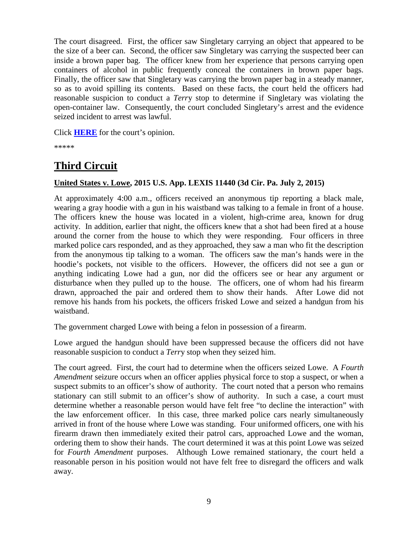The court disagreed. First, the officer saw Singletary carrying an object that appeared to be the size of a beer can. Second, the officer saw Singletary was carrying the suspected beer can inside a brown paper bag. The officer knew from her experience that persons carrying open containers of alcohol in public frequently conceal the containers in brown paper bags. Finally, the officer saw that Singletary was carrying the brown paper bag in a steady manner, so as to avoid spilling its contents. Based on these facts, the court held the officers had reasonable suspicion to conduct a *Terr*y stop to determine if Singletary was violating the open-container law. Consequently, the court concluded Singletary's arrest and the evidence seized incident to arrest was lawful.

Click **[HERE](http://cases.justia.com/federal/appellate-courts/ca2/14-3243/14-3243-2015-07-14.pdf?ts=1436884205)** for the court's opinion.

\*\*\*\*\*

## <span id="page-8-0"></span>**Third Circuit**

## <span id="page-8-1"></span>**United States v. Lowe, 2015 U.S. App. LEXIS 11440 (3d Cir. Pa. July 2, 2015)**

At approximately 4:00 a.m., officers received an anonymous tip reporting a black male, wearing a gray hoodie with a gun in his waistband was talking to a female in front of a house. The officers knew the house was located in a violent, high-crime area, known for drug activity. In addition, earlier that night, the officers knew that a shot had been fired at a house around the corner from the house to which they were responding. Four officers in three marked police cars responded, and as they approached, they saw a man who fit the description from the anonymous tip talking to a woman. The officers saw the man's hands were in the hoodie's pockets, not visible to the officers. However, the officers did not see a gun or anything indicating Lowe had a gun, nor did the officers see or hear any argument or disturbance when they pulled up to the house. The officers, one of whom had his firearm drawn, approached the pair and ordered them to show their hands. After Lowe did not remove his hands from his pockets, the officers frisked Lowe and seized a handgun from his waistband.

The government charged Lowe with being a felon in possession of a firearm.

Lowe argued the handgun should have been suppressed because the officers did not have reasonable suspicion to conduct a *Terr*y stop when they seized him.

The court agreed. First, the court had to determine when the officers seized Lowe. A *Fourth Amendment* seizure occurs when an officer applies physical force to stop a suspect, or when a suspect submits to an officer's show of authority. The court noted that a person who remains stationary can still submit to an officer's show of authority. In such a case, a court must determine whether a reasonable person would have felt free "to decline the interaction" with the law enforcement officer. In this case, three marked police cars nearly simultaneously arrived in front of the house where Lowe was standing. Four uniformed officers, one with his firearm drawn then immediately exited their patrol cars, approached Lowe and the woman, ordering them to show their hands. The court determined it was at this point Lowe was seized for *Fourth Amendment* purposes. Although Lowe remained stationary, the court held a reasonable person in his position would not have felt free to disregard the officers and walk away.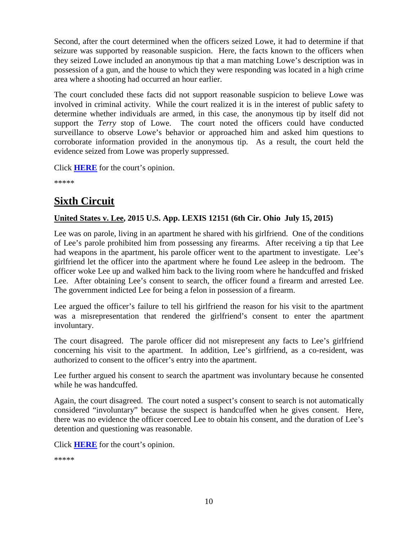Second, after the court determined when the officers seized Lowe, it had to determine if that seizure was supported by reasonable suspicion. Here, the facts known to the officers when they seized Lowe included an anonymous tip that a man matching Lowe's description was in possession of a gun, and the house to which they were responding was located in a high crime area where a shooting had occurred an hour earlier.

The court concluded these facts did not support reasonable suspicion to believe Lowe was involved in criminal activity. While the court realized it is in the interest of public safety to determine whether individuals are armed, in this case, the anonymous tip by itself did not support the *Terry* stop of Lowe. The court noted the officers could have conducted surveillance to observe Lowe's behavior or approached him and asked him questions to corroborate information provided in the anonymous tip. As a result, the court held the evidence seized from Lowe was properly suppressed.

Click **[HERE](http://cases.justia.com/federal/appellate-courts/ca3/14-1108/14-1108-2015-07-02.pdf?ts=1435856405)** for the court's opinion.

\*\*\*\*\*

## <span id="page-9-0"></span>**Sixth Circuit**

## <span id="page-9-1"></span>**United States v. Lee, 2015 U.S. App. LEXIS 12151 (6th Cir. Ohio July 15, 2015)**

Lee was on parole, living in an apartment he shared with his girlfriend. One of the conditions of Lee's parole prohibited him from possessing any firearms. After receiving a tip that Lee had weapons in the apartment, his parole officer went to the apartment to investigate. Lee's girlfriend let the officer into the apartment where he found Lee asleep in the bedroom. The officer woke Lee up and walked him back to the living room where he handcuffed and frisked Lee. After obtaining Lee's consent to search, the officer found a firearm and arrested Lee. The government indicted Lee for being a felon in possession of a firearm.

Lee argued the officer's failure to tell his girlfriend the reason for his visit to the apartment was a misrepresentation that rendered the girlfriend's consent to enter the apartment involuntary.

The court disagreed. The parole officer did not misrepresent any facts to Lee's girlfriend concerning his visit to the apartment. In addition, Lee's girlfriend, as a co-resident, was authorized to consent to the officer's entry into the apartment.

Lee further argued his consent to search the apartment was involuntary because he consented while he was handcuffed.

Again, the court disagreed. The court noted a suspect's consent to search is not automatically considered "involuntary" because the suspect is handcuffed when he gives consent. Here, there was no evidence the officer coerced Lee to obtain his consent, and the duration of Lee's detention and questioning was reasonable.

Click **[HERE](http://cases.justia.com/federal/appellate-courts/ca6/14-3929/14-3929-2015-07-15.pdf?ts=1436970665)** for the court's opinion.

\*\*\*\*\*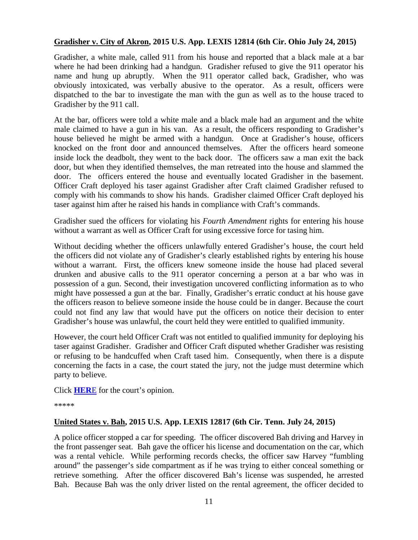#### <span id="page-10-0"></span>**Gradisher v. City of Akron, 2015 U.S. App. LEXIS 12814 (6th Cir. Ohio July 24, 2015)**

Gradisher, a white male, called 911 from his house and reported that a black male at a bar where he had been drinking had a handgun. Gradisher refused to give the 911 operator his name and hung up abruptly. When the 911 operator called back, Gradisher, who was obviously intoxicated, was verbally abusive to the operator. As a result, officers were dispatched to the bar to investigate the man with the gun as well as to the house traced to Gradisher by the 911 call.

At the bar, officers were told a white male and a black male had an argument and the white male claimed to have a gun in his van. As a result, the officers responding to Gradisher's house believed he might be armed with a handgun. Once at Gradisher's house, officers knocked on the front door and announced themselves. After the officers heard someone inside lock the deadbolt, they went to the back door. The officers saw a man exit the back door, but when they identified themselves, the man retreated into the house and slammed the door. The officers entered the house and eventually located Gradisher in the basement. Officer Craft deployed his taser against Gradisher after Craft claimed Gradisher refused to comply with his commands to show his hands. Gradisher claimed Officer Craft deployed his taser against him after he raised his hands in compliance with Craft's commands.

Gradisher sued the officers for violating his *Fourth Amendment* rights for entering his house without a warrant as well as Officer Craft for using excessive force for tasing him.

Without deciding whether the officers unlawfully entered Gradisher's house, the court held the officers did not violate any of Gradisher's clearly established rights by entering his house without a warrant. First, the officers knew someone inside the house had placed several drunken and abusive calls to the 911 operator concerning a person at a bar who was in possession of a gun. Second, their investigation uncovered conflicting information as to who might have possessed a gun at the bar. Finally, Gradisher's erratic conduct at his house gave the officers reason to believe someone inside the house could be in danger. Because the court could not find any law that would have put the officers on notice their decision to enter Gradisher's house was unlawful, the court held they were entitled to qualified immunity.

However, the court held Officer Craft was not entitled to qualified immunity for deploying his taser against Gradisher. Gradisher and Officer Craft disputed whether Gradisher was resisting or refusing to be handcuffed when Craft tased him. Consequently, when there is a dispute concerning the facts in a case, the court stated the jury, not the judge must determine which party to believe.

Click **[HER](http://cases.justia.com/federal/appellate-courts/ca6/14-3973/14-3973-2015-07-24.pdf?ts=1437762773)**E for the court's opinion.

\*\*\*\*\*

#### <span id="page-10-1"></span>**United States v. Bah, 2015 U.S. App. LEXIS 12817 (6th Cir. Tenn. July 24, 2015)**

A police officer stopped a car for speeding. The officer discovered Bah driving and Harvey in the front passenger seat. Bah gave the officer his license and documentation on the car, which was a rental vehicle. While performing records checks, the officer saw Harvey "fumbling around" the passenger's side compartment as if he was trying to either conceal something or retrieve something. After the officer discovered Bah's license was suspended, he arrested Bah. Because Bah was the only driver listed on the rental agreement, the officer decided to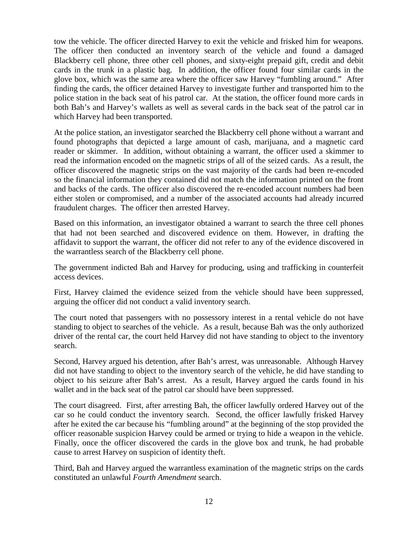tow the vehicle. The officer directed Harvey to exit the vehicle and frisked him for weapons. The officer then conducted an inventory search of the vehicle and found a damaged Blackberry cell phone, three other cell phones, and sixty-eight prepaid gift, credit and debit cards in the trunk in a plastic bag. In addition, the officer found four similar cards in the glove box, which was the same area where the officer saw Harvey "fumbling around." After finding the cards, the officer detained Harvey to investigate further and transported him to the police station in the back seat of his patrol car. At the station, the officer found more cards in both Bah's and Harvey's wallets as well as several cards in the back seat of the patrol car in which Harvey had been transported.

At the police station, an investigator searched the Blackberry cell phone without a warrant and found photographs that depicted a large amount of cash, marijuana, and a magnetic card reader or skimmer. In addition, without obtaining a warrant, the officer used a skimmer to read the information encoded on the magnetic strips of all of the seized cards. As a result, the officer discovered the magnetic strips on the vast majority of the cards had been re-encoded so the financial information they contained did not match the information printed on the front and backs of the cards. The officer also discovered the re-encoded account numbers had been either stolen or compromised, and a number of the associated accounts had already incurred fraudulent charges. The officer then arrested Harvey.

Based on this information, an investigator obtained a warrant to search the three cell phones that had not been searched and discovered evidence on them. However, in drafting the affidavit to support the warrant, the officer did not refer to any of the evidence discovered in the warrantless search of the Blackberry cell phone.

The government indicted Bah and Harvey for producing, using and trafficking in counterfeit access devices.

First, Harvey claimed the evidence seized from the vehicle should have been suppressed, arguing the officer did not conduct a valid inventory search.

The court noted that passengers with no possessory interest in a rental vehicle do not have standing to object to searches of the vehicle. As a result, because Bah was the only authorized driver of the rental car, the court held Harvey did not have standing to object to the inventory search.

Second, Harvey argued his detention, after Bah's arrest, was unreasonable. Although Harvey did not have standing to object to the inventory search of the vehicle, he did have standing to object to his seizure after Bah's arrest. As a result, Harvey argued the cards found in his wallet and in the back seat of the patrol car should have been suppressed.

The court disagreed. First, after arresting Bah, the officer lawfully ordered Harvey out of the car so he could conduct the inventory search. Second, the officer lawfully frisked Harvey after he exited the car because his "fumbling around" at the beginning of the stop provided the officer reasonable suspicion Harvey could be armed or trying to hide a weapon in the vehicle. Finally, once the officer discovered the cards in the glove box and trunk, he had probable cause to arrest Harvey on suspicion of identity theft.

Third, Bah and Harvey argued the warrantless examination of the magnetic strips on the cards constituted an unlawful *Fourth Amendment* search.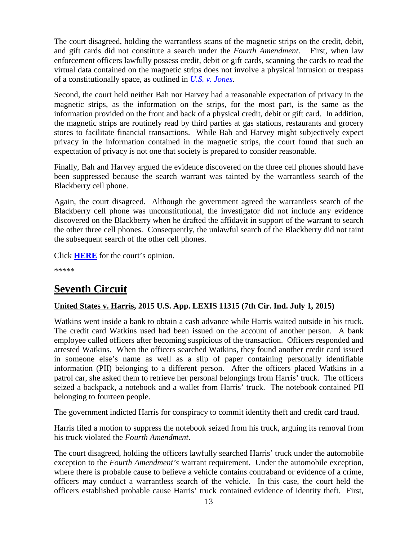The court disagreed, holding the warrantless scans of the magnetic strips on the credit, debit, and gift cards did not constitute a search under the *Fourth Amendment*. First, when law enforcement officers lawfully possess credit, debit or gift cards, scanning the cards to read the virtual data contained on the magnetic strips does not involve a physical intrusion or trespass of a constitutionally space, as outlined in *[U.S. v. Jones](https://supreme.justia.com/cases/federal/us/565/10-1259/case.pdf)*.

Second, the court held neither Bah nor Harvey had a reasonable expectation of privacy in the magnetic strips, as the information on the strips, for the most part, is the same as the information provided on the front and back of a physical credit, debit or gift card. In addition, the magnetic strips are routinely read by third parties at gas stations, restaurants and grocery stores to facilitate financial transactions. While Bah and Harvey might subjectively expect privacy in the information contained in the magnetic strips, the court found that such an expectation of privacy is not one that society is prepared to consider reasonable.

Finally, Bah and Harvey argued the evidence discovered on the three cell phones should have been suppressed because the search warrant was tainted by the warrantless search of the Blackberry cell phone.

Again, the court disagreed. Although the government agreed the warrantless search of the Blackberry cell phone was unconstitutional, the investigator did not include any evidence discovered on the Blackberry when he drafted the affidavit in support of the warrant to search the other three cell phones. Consequently, the unlawful search of the Blackberry did not taint the subsequent search of the other cell phones.

Click **[HERE](http://cases.justia.com/federal/appellate-courts/ca6/14-5178/14-5178-2015-07-24.pdf?ts=1437762776)** for the court's opinion.

\*\*\*\*\*

## <span id="page-12-0"></span>**Seventh Circuit**

## <span id="page-12-1"></span>**United States v. Harris, 2015 U.S. App. LEXIS 11315 (7th Cir. Ind. July 1, 2015)**

Watkins went inside a bank to obtain a cash advance while Harris waited outside in his truck. The credit card Watkins used had been issued on the account of another person. A bank employee called officers after becoming suspicious of the transaction. Officers responded and arrested Watkins. When the officers searched Watkins, they found another credit card issued in someone else's name as well as a slip of paper containing personally identifiable information (PII) belonging to a different person. After the officers placed Watkins in a patrol car, she asked them to retrieve her personal belongings from Harris' truck. The officers seized a backpack, a notebook and a wallet from Harris' truck. The notebook contained PII belonging to fourteen people.

The government indicted Harris for conspiracy to commit identity theft and credit card fraud.

Harris filed a motion to suppress the notebook seized from his truck, arguing its removal from his truck violated the *Fourth Amendment*.

The court disagreed, holding the officers lawfully searched Harris' truck under the automobile exception to the *Fourth Amendment's* warrant requirement. Under the automobile exception, where there is probable cause to believe a vehicle contains contraband or evidence of a crime, officers may conduct a warrantless search of the vehicle. In this case, the court held the officers established probable cause Harris' truck contained evidence of identity theft. First,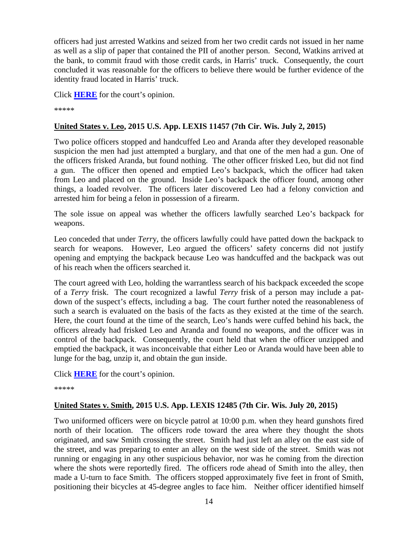officers had just arrested Watkins and seized from her two credit cards not issued in her name as well as a slip of paper that contained the PII of another person. Second, Watkins arrived at the bank, to commit fraud with those credit cards, in Harris' truck. Consequently, the court concluded it was reasonable for the officers to believe there would be further evidence of the identity fraud located in Harris' truck.

Click **[HERE](http://cases.justia.com/federal/appellate-courts/ca7/14-1846/14-1846-2015-07-01.pdf?ts=1435771884)** for the court's opinion.

\*\*\*\*\*

## <span id="page-13-0"></span>**United States v. Leo, 2015 U.S. App. LEXIS 11457 (7th Cir. Wis. July 2, 2015)**

Two police officers stopped and handcuffed Leo and Aranda after they developed reasonable suspicion the men had just attempted a burglary, and that one of the men had a gun. One of the officers frisked Aranda, but found nothing. The other officer frisked Leo, but did not find a gun. The officer then opened and emptied Leo's backpack, which the officer had taken from Leo and placed on the ground. Inside Leo's backpack the officer found, among other things, a loaded revolver. The officers later discovered Leo had a felony conviction and arrested him for being a felon in possession of a firearm.

The sole issue on appeal was whether the officers lawfully searched Leo's backpack for weapons.

Leo conceded that under *Terr*y, the officers lawfully could have patted down the backpack to search for weapons. However, Leo argued the officers' safety concerns did not justify opening and emptying the backpack because Leo was handcuffed and the backpack was out of his reach when the officers searched it.

The court agreed with Leo, holding the warrantless search of his backpack exceeded the scope of a *Terry* frisk. The court recognized a lawful *Terry* frisk of a person may include a patdown of the suspect's effects, including a bag. The court further noted the reasonableness of such a search is evaluated on the basis of the facts as they existed at the time of the search. Here, the court found at the time of the search, Leo's hands were cuffed behind his back, the officers already had frisked Leo and Aranda and found no weapons, and the officer was in control of the backpack. Consequently, the court held that when the officer unzipped and emptied the backpack, it was inconceivable that either Leo or Aranda would have been able to lunge for the bag, unzip it, and obtain the gun inside.

Click **[HERE](http://cases.justia.com/federal/appellate-courts/ca7/14-2262/14-2262-2015-07-02.pdf?ts=1435860047)** for the court's opinion.

\*\*\*\*\*

## <span id="page-13-1"></span>**United States v. Smith, 2015 U.S. App. LEXIS 12485 (7th Cir. Wis. July 20, 2015)**

Two uniformed officers were on bicycle patrol at 10:00 p.m. when they heard gunshots fired north of their location. The officers rode toward the area where they thought the shots originated, and saw Smith crossing the street. Smith had just left an alley on the east side of the street, and was preparing to enter an alley on the west side of the street. Smith was not running or engaging in any other suspicious behavior, nor was he coming from the direction where the shots were reportedly fired. The officers rode ahead of Smith into the alley, then made a U-turn to face Smith. The officers stopped approximately five feet in front of Smith, positioning their bicycles at 45-degree angles to face him. Neither officer identified himself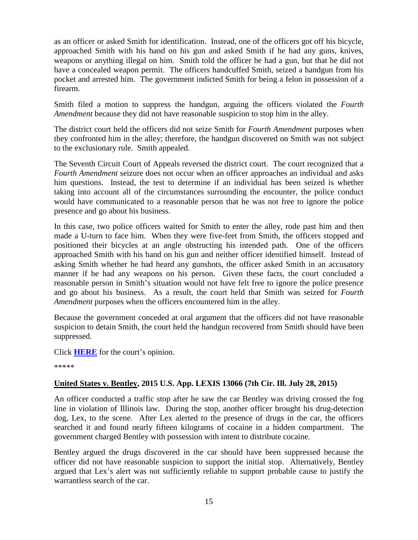as an officer or asked Smith for identification. Instead, one of the officers got off his bicycle, approached Smith with his hand on his gun and asked Smith if he had any guns, knives, weapons or anything illegal on him. Smith told the officer he had a gun, but that he did not have a concealed weapon permit. The officers handcuffed Smith, seized a handgun from his pocket and arrested him. The government indicted Smith for being a felon in possession of a firearm.

Smith filed a motion to suppress the handgun, arguing the officers violated the *Fourth Amendment* because they did not have reasonable suspicion to stop him in the alley.

The district court held the officers did not seize Smith for *Fourth Amendment* purposes when they confronted him in the alley; therefore, the handgun discovered on Smith was not subject to the exclusionary rule. Smith appealed.

The Seventh Circuit Court of Appeals reversed the district court. The court recognized that a *Fourth Amendment* seizure does not occur when an officer approaches an individual and asks him questions. Instead, the test to determine if an individual has been seized is whether taking into account all of the circumstances surrounding the encounter, the police conduct would have communicated to a reasonable person that he was not free to ignore the police presence and go about his business.

In this case, two police officers waited for Smith to enter the alley, rode past him and then made a U-turn to face him. When they were five-feet from Smith, the officers stopped and positioned their bicycles at an angle obstructing his intended path. One of the officers approached Smith with his hand on his gun and neither officer identified himself. Instead of asking Smith whether he had heard any gunshots, the officer asked Smith in an accusatory manner if he had any weapons on his person. Given these facts, the court concluded a reasonable person in Smith's situation would not have felt free to ignore the police presence and go about his business. As a result, the court held that Smith was seized for *Fourth Amendment* purposes when the officers encountered him in the alley.

Because the government conceded at oral argument that the officers did not have reasonable suspicion to detain Smith, the court held the handgun recovered from Smith should have been suppressed.

Click **[HERE](http://cases.justia.com/federal/appellate-courts/ca7/14-2982/14-2982-2015-07-20.pdf?ts=1437413493)** for the court's opinion.

\*\*\*\*\*

## <span id="page-14-0"></span>**United States v. Bentley, 2015 U.S. App. LEXIS 13066 (7th Cir. Ill. July 28, 2015)**

An officer conducted a traffic stop after he saw the car Bentley was driving crossed the fog line in violation of Illinois law. During the stop, another officer brought his drug-detection dog, Lex, to the scene. After Lex alerted to the presence of drugs in the car, the officers searched it and found nearly fifteen kilograms of cocaine in a hidden compartment. The government charged Bentley with possession with intent to distribute cocaine.

Bentley argued the drugs discovered in the car should have been suppressed because the officer did not have reasonable suspicion to support the initial stop. Alternatively, Bentley argued that Lex's alert was not sufficiently reliable to support probable cause to justify the warrantless search of the car.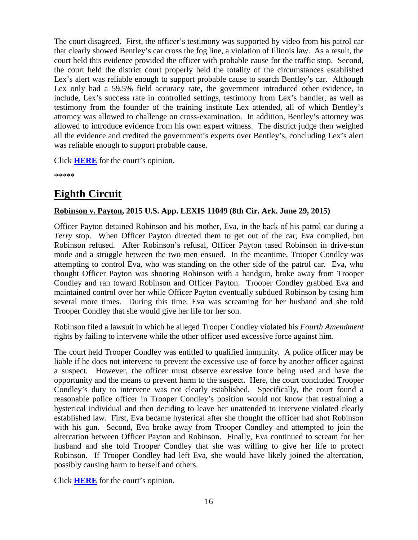The court disagreed. First, the officer's testimony was supported by video from his patrol car that clearly showed Bentley's car cross the fog line, a violation of Illinois law. As a result, the court held this evidence provided the officer with probable cause for the traffic stop. Second, the court held the district court properly held the totality of the circumstances established Lex's alert was reliable enough to support probable cause to search Bentley's car. Although Lex only had a 59.5% field accuracy rate, the government introduced other evidence, to include, Lex's success rate in controlled settings, testimony from Lex's handler, as well as testimony from the founder of the training institute Lex attended, all of which Bentley's attorney was allowed to challenge on cross-examination. In addition, Bentley's attorney was allowed to introduce evidence from his own expert witness. The district judge then weighed all the evidence and credited the government's experts over Bentley's, concluding Lex's alert was reliable enough to support probable cause.

Click **[HERE](http://cases.justia.com/federal/appellate-courts/ca7/13-2995/13-2995-2015-07-28.pdf?ts=1438102883)** for the court's opinion.

\*\*\*\*\*

## <span id="page-15-0"></span>**Eighth Circuit**

## <span id="page-15-1"></span>**Robinson v. Payton, 2015 U.S. App. LEXIS 11049 (8th Cir. Ark. June 29, 2015)**

Officer Payton detained Robinson and his mother, Eva, in the back of his patrol car during a *Terry* stop. When Officer Payton directed them to get out of the car, Eva complied, but Robinson refused. After Robinson's refusal, Officer Payton tased Robinson in drive-stun mode and a struggle between the two men ensued. In the meantime, Trooper Condley was attempting to control Eva, who was standing on the other side of the patrol car. Eva, who thought Officer Payton was shooting Robinson with a handgun, broke away from Trooper Condley and ran toward Robinson and Officer Payton. Trooper Condley grabbed Eva and maintained control over her while Officer Payton eventually subdued Robinson by tasing him several more times. During this time, Eva was screaming for her husband and she told Trooper Condley that she would give her life for her son.

Robinson filed a lawsuit in which he alleged Trooper Condley violated his *Fourth Amendment* rights by failing to intervene while the other officer used excessive force against him.

The court held Trooper Condley was entitled to qualified immunity. A police officer may be liable if he does not intervene to prevent the excessive use of force by another officer against a suspect. However, the officer must observe excessive force being used and have the opportunity and the means to prevent harm to the suspect. Here, the court concluded Trooper Condley's duty to intervene was not clearly established. Specifically, the court found a reasonable police officer in Trooper Condley's position would not know that restraining a hysterical individual and then deciding to leave her unattended to intervene violated clearly established law. First, Eva became hysterical after she thought the officer had shot Robinson with his gun. Second, Eva broke away from Trooper Condley and attempted to join the altercation between Officer Payton and Robinson. Finally, Eva continued to scream for her husband and she told Trooper Condley that she was willing to give her life to protect Robinson. If Trooper Condley had left Eva, she would have likely joined the altercation, possibly causing harm to herself and others.

Click **[HERE](http://cases.justia.com/federal/appellate-courts/ca8/14-1962/14-1962-2015-06-29.pdf?ts=1435590094)** for the court's opinion.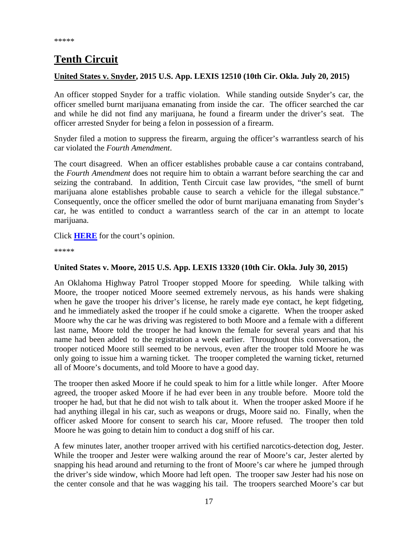## <span id="page-16-0"></span>**Tenth Circuit**

#### <span id="page-16-1"></span>**United States v. Snyder, 2015 U.S. App. LEXIS 12510 (10th Cir. Okla. July 20, 2015)**

An officer stopped Snyder for a traffic violation. While standing outside Snyder's car, the officer smelled burnt marijuana emanating from inside the car. The officer searched the car and while he did not find any marijuana, he found a firearm under the driver's seat. The officer arrested Snyder for being a felon in possession of a firearm.

Snyder filed a motion to suppress the firearm, arguing the officer's warrantless search of his car violated the *Fourth Amendment*.

The court disagreed. When an officer establishes probable cause a car contains contraband, the *Fourth Amendment* does not require him to obtain a warrant before searching the car and seizing the contraband. In addition, Tenth Circuit case law provides, "the smell of burnt marijuana alone establishes probable cause to search a vehicle for the illegal substance." Consequently, once the officer smelled the odor of burnt marijuana emanating from Snyder's car, he was entitled to conduct a warrantless search of the car in an attempt to locate marijuana.

Click **[HERE](http://cases.justia.com/federal/appellate-courts/ca10/14-6023/14-6023-2015-07-20.pdf?ts=1437408058)** for the court's opinion.

\*\*\*\*\*

#### <span id="page-16-2"></span>**United States v. Moore, 2015 U.S. App. LEXIS 13320 (10th Cir. Okla. July 30, 2015)**

An Oklahoma Highway Patrol Trooper stopped Moore for speeding. While talking with Moore, the trooper noticed Moore seemed extremely nervous, as his hands were shaking when he gave the trooper his driver's license, he rarely made eye contact, he kept fidgeting, and he immediately asked the trooper if he could smoke a cigarette. When the trooper asked Moore why the car he was driving was registered to both Moore and a female with a different last name, Moore told the trooper he had known the female for several years and that his name had been added to the registration a week earlier. Throughout this conversation, the trooper noticed Moore still seemed to be nervous, even after the trooper told Moore he was only going to issue him a warning ticket. The trooper completed the warning ticket, returned all of Moore's documents, and told Moore to have a good day.

The trooper then asked Moore if he could speak to him for a little while longer. After Moore agreed, the trooper asked Moore if he had ever been in any trouble before. Moore told the trooper he had, but that he did not wish to talk about it. When the trooper asked Moore if he had anything illegal in his car, such as weapons or drugs, Moore said no. Finally, when the officer asked Moore for consent to search his car, Moore refused. The trooper then told Moore he was going to detain him to conduct a dog sniff of his car.

A few minutes later, another trooper arrived with his certified narcotics-detection dog, Jester. While the trooper and Jester were walking around the rear of Moore's car, Jester alerted by snapping his head around and returning to the front of Moore's car where he jumped through the driver's side window, which Moore had left open. The trooper saw Jester had his nose on the center console and that he was wagging his tail. The troopers searched Moore's car but